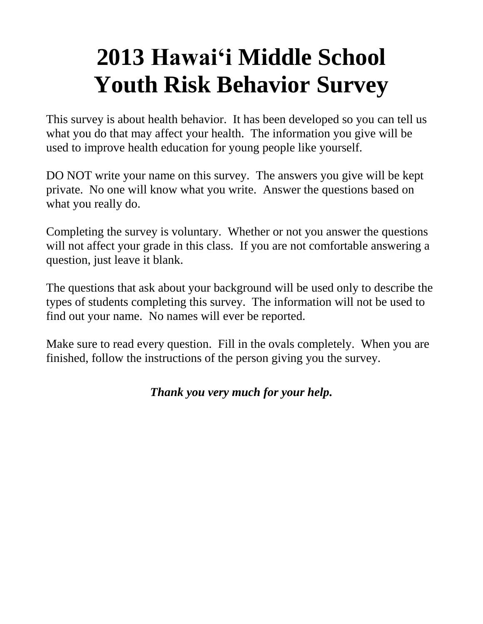# **2013 Hawai'i Middle School Youth Risk Behavior Survey**

This survey is about health behavior. It has been developed so you can tell us what you do that may affect your health. The information you give will be used to improve health education for young people like yourself.

DO NOT write your name on this survey. The answers you give will be kept private. No one will know what you write. Answer the questions based on what you really do.

Completing the survey is voluntary. Whether or not you answer the questions will not affect your grade in this class. If you are not comfortable answering a question, just leave it blank.

The questions that ask about your background will be used only to describe the types of students completing this survey. The information will not be used to find out your name. No names will ever be reported.

Make sure to read every question. Fill in the ovals completely. When you are finished, follow the instructions of the person giving you the survey.

# *Thank you very much for your help.*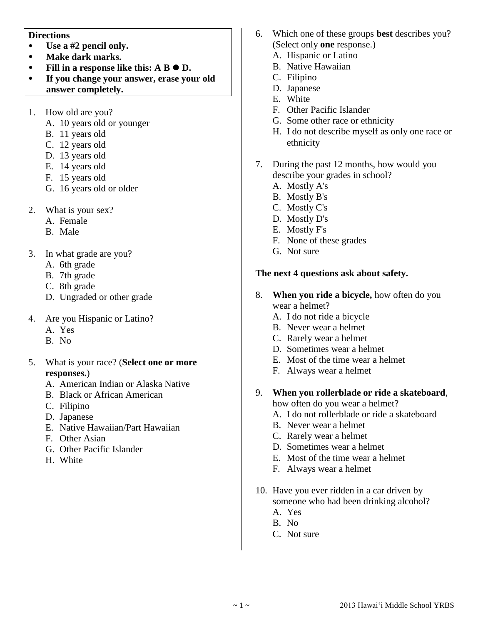#### **Directions**

- **Use a #2 pencil only.**
- **Make dark marks.**
- Fill in a response like this:  $A \cdot B \cdot D$ .
- **If you change your answer, erase your old answer completely.**
- 1. How old are you?
	- A. 10 years old or younger
	- B. 11 years old
	- C. 12 years old
	- D. 13 years old
	- E. 14 years old
	- F. 15 years old
	- G. 16 years old or older
- 2. What is your sex?
	- A. Female
	- B. Male
- 3. In what grade are you?
	- A. 6th grade
	- B. 7th grade
	- C. 8th grade
	- D. Ungraded or other grade
- 4. Are you Hispanic or Latino?
	- A. Yes
	- B. No
- 5. What is your race? (**Select one or more responses.**)
	- A. American Indian or Alaska Native
	- B. Black or African American
	- C. Filipino
	- D. Japanese
	- E. Native Hawaiian/Part Hawaiian
	- F. Other Asian
	- G. Other Pacific Islander
	- H. White
- 6. Which one of these groups **best** describes you? (Select only **one** response.)
	- A. Hispanic or Latino
	- B. Native Hawaiian
	- C. Filipino
	- D. Japanese
	- E. White
	- F. Other Pacific Islander
	- G. Some other race or ethnicity
	- H. I do not describe myself as only one race or ethnicity
- 7. During the past 12 months, how would you describe your grades in school?
	- A. Mostly A's
	- B. Mostly B's
	- C. Mostly C's
	- D. Mostly D's
	- E. Mostly F's
	- F. None of these grades
	- G. Not sure

#### **The next 4 questions ask about safety.**

- 8. **When you ride a bicycle,** how often do you wear a helmet?
	- A. I do not ride a bicycle
	- B. Never wear a helmet
	- C. Rarely wear a helmet
	- D. Sometimes wear a helmet
	- E. Most of the time wear a helmet
	- F. Always wear a helmet
- 9. **When you rollerblade or ride a skateboard**,

how often do you wear a helmet?

- A. I do not rollerblade or ride a skateboard
- B. Never wear a helmet
- C. Rarely wear a helmet
- D. Sometimes wear a helmet
- E. Most of the time wear a helmet
- F. Always wear a helmet
- 10. Have you ever ridden in a car driven by someone who had been drinking alcohol? A. Yes
	- B. No
	- C. Not sure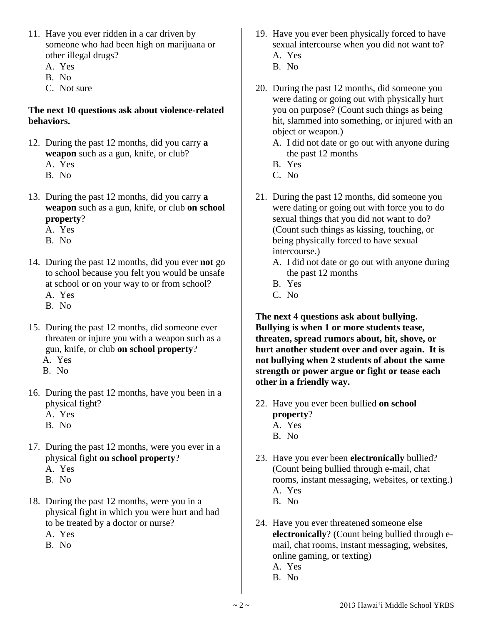- 11. Have you ever ridden in a car driven by someone who had been high on marijuana or other illegal drugs?
	- A. Yes
	- B. No
	- C. Not sure

#### **The next 10 questions ask about violence-related behaviors.**

- 12. During the past 12 months, did you carry **a weapon** such as a gun, knife, or club?
	- A. Yes
	- B. No
- 13. During the past 12 months, did you carry **a weapon** such as a gun, knife, or club **on school property**?
	- A. Yes
	- B. No
- 14. During the past 12 months, did you ever **not** go to school because you felt you would be unsafe at school or on your way to or from school?
	- A. Yes
	- B. No
- 15. During the past 12 months, did someone ever threaten or injure you with a weapon such as a gun, knife, or club **on school property**? A. Yes
	- B. No
- 16. During the past 12 months, have you been in a physical fight?
	- A. Yes
	- B. No
- 17. During the past 12 months, were you ever in a physical fight **on school property**?
	- A. Yes
	- B. No
- 18. During the past 12 months, were you in a physical fight in which you were hurt and had to be treated by a doctor or nurse?
	- A. Yes
	- B. No
- 19. Have you ever been physically forced to have sexual intercourse when you did not want to? A. Yes
	- B. No
- 20. During the past 12 months, did someone you were dating or going out with physically hurt you on purpose? (Count such things as being hit, slammed into something, or injured with an object or weapon.)
	- A. I did not date or go out with anyone during the past 12 months
	- B. Yes
	- C. No
- 21. During the past 12 months, did someone you were dating or going out with force you to do sexual things that you did not want to do? (Count such things as kissing, touching, or being physically forced to have sexual intercourse.)
	- A. I did not date or go out with anyone during the past 12 months
	- B. Yes
	- C. No

**The next 4 questions ask about bullying. Bullying is when 1 or more students tease, threaten, spread rumors about, hit, shove, or hurt another student over and over again. It is not bullying when 2 students of about the same strength or power argue or fight or tease each other in a friendly way.**

- 22. Have you ever been bullied **on school property**? A. Yes
	- B. No
- 23. Have you ever been **electronically** bullied? (Count being bullied through e-mail, chat rooms, instant messaging, websites, or texting.) A. Yes B. No
- 24. Have you ever threatened someone else **electronically**? (Count being bullied through email, chat rooms, instant messaging, websites, online gaming, or texting) A. Yes
	- B. No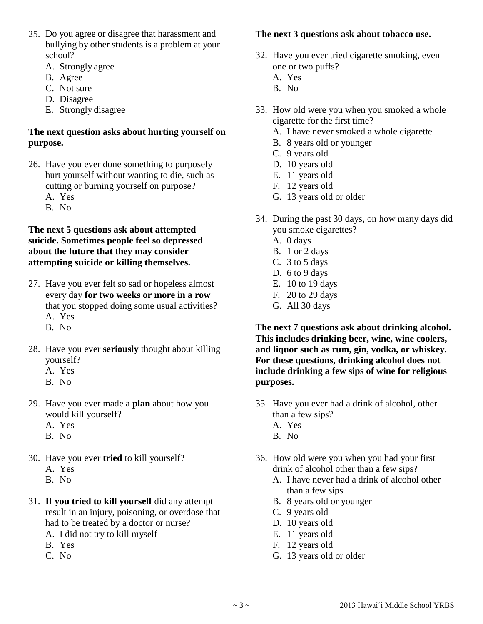- 25. Do you agree or disagree that harassment and bullying by other students is a problem at your school?
	- A. Strongly agree
	- B. Agree
	- C. Not sure
	- D. Disagree
	- E. Strongly disagree

## **The next question asks about hurting yourself on purpose.**

- 26. Have you ever done something to purposely hurt yourself without wanting to die, such as cutting or burning yourself on purpose?
	- A. Yes
	- B. No

#### **The next 5 questions ask about attempted suicide. Sometimes people feel so depressed about the future that they may consider attempting suicide or killing themselves.**

- 27. Have you ever felt so sad or hopeless almost every day **for two weeks or more in a row** that you stopped doing some usual activities?
	- A. Yes
	- B. No
- 28. Have you ever **seriously** thought about killing yourself?
	- A. Yes
	- B. No
- 29. Have you ever made a **plan** about how you would kill yourself?
	- A. Yes
	- B. No
- 30. Have you ever **tried** to kill yourself?
	- A. Yes
	- B. No
- 31. **If you tried to kill yourself** did any attempt result in an injury, poisoning, or overdose that had to be treated by a doctor or nurse?
	- A. I did not try to kill myself
	- B. Yes
	- C. No

## **The next 3 questions ask about tobacco use.**

- 32. Have you ever tried cigarette smoking, even one or two puffs?
	- A. Yes
	- B. No
- 33. How old were you when you smoked a whole cigarette for the first time?
	- A. I have never smoked a whole cigarette
	- B. 8 years old or younger
	- C. 9 years old
	- D. 10 years old
	- E. 11 years old
	- F. 12 years old
	- G. 13 years old or older
- 34. During the past 30 days, on how many days did you smoke cigarettes?
	- A. 0 days
	- B. 1 or 2 days
	- C. 3 to 5 days
	- D. 6 to 9 days
	- E. 10 to 19 days
	- F. 20 to 29 days
	- G. All 30 days

**The next 7 questions ask about drinking alcohol. This includes drinking beer, wine, wine coolers, and liquor such as rum, gin, vodka, or whiskey. For these questions, drinking alcohol does not include drinking a few sips of wine for religious purposes.**

- 35. Have you ever had a drink of alcohol, other than a few sips? A. Yes
	- B. No
- 36. How old were you when you had your first drink of alcohol other than a few sips?
	- A. I have never had a drink of alcohol other than a few sips
	- B. 8 years old or younger
	- C. 9 years old
	- D. 10 years old
	- E. 11 years old
	- F. 12 years old
	- G. 13 years old or older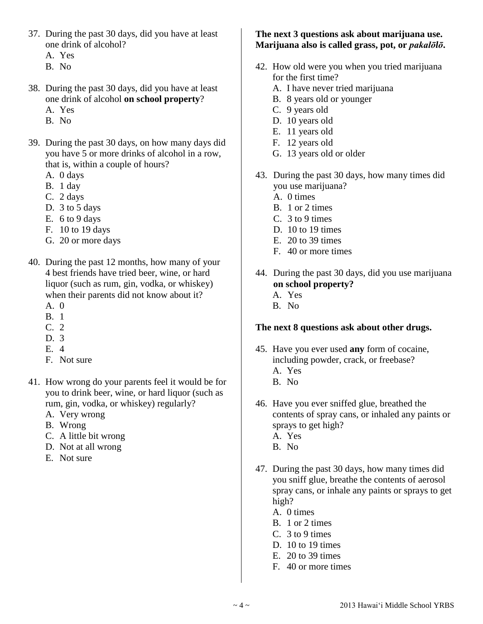- 37. During the past 30 days, did you have at least one drink of alcohol?
	- A. Yes
	- B. No
- 38. During the past 30 days, did you have at least one drink of alcohol **on school property**?
	- A. Yes
	- B. No
- 39. During the past 30 days, on how many days did you have 5 or more drinks of alcohol in a row, that is, within a couple of hours?
	- A. 0 days
	- B. 1 day
	- C. 2 days
	- D. 3 to 5 days
	- E. 6 to 9 days
	- F. 10 to 19 days
	- G. 20 or more days
- 40. During the past 12 months, how many of your 4 best friends have tried beer, wine, or hard liquor (such as rum, gin, vodka, or whiskey) when their parents did not know about it?
	- A. 0
	- B. 1
	- C. 2
	- D. 3
	- E. 4
	- F. Not sure
- 41. How wrong do your parents feel it would be for you to drink beer, wine, or hard liquor (such as rum, gin, vodka, or whiskey) regularly?
	- A. Very wrong
	- B. Wrong
	- C. A little bit wrong
	- D. Not at all wrong
	- E. Not sure

#### **The next 3 questions ask about marijuana use. Marijuana also is called grass, pot, or** *pakalōlō***.**

- 42. How old were you when you tried marijuana for the first time?
	- A. I have never tried marijuana
	- B. 8 years old or younger
	- C. 9 years old
	- D. 10 years old
	- E. 11 years old
	- F. 12 years old
	- G. 13 years old or older
- 43. During the past 30 days, how many times did you use marijuana?
	- A. 0 times
	- B. 1 or 2 times
	- C. 3 to 9 times
	- D. 10 to 19 times
	- E. 20 to 39 times
	- F. 40 or more times
- 44. During the past 30 days, did you use marijuana **on school property?** A. Yes B. No

## **The next 8 questions ask about other drugs.**

- 45. Have you ever used **any** form of cocaine, including powder, crack, or freebase? A. Yes
	- B. No
- 46. Have you ever sniffed glue, breathed the contents of spray cans, or inhaled any paints or sprays to get high? A. Yes
	- B. No
- 47. During the past 30 days, how many times did you sniff glue, breathe the contents of aerosol spray cans, or inhale any paints or sprays to get high?
	- A. 0 times
	- B. 1 or 2 times
	- C. 3 to 9 times
	- D. 10 to 19 times
	- E. 20 to 39 times
	- F. 40 or more times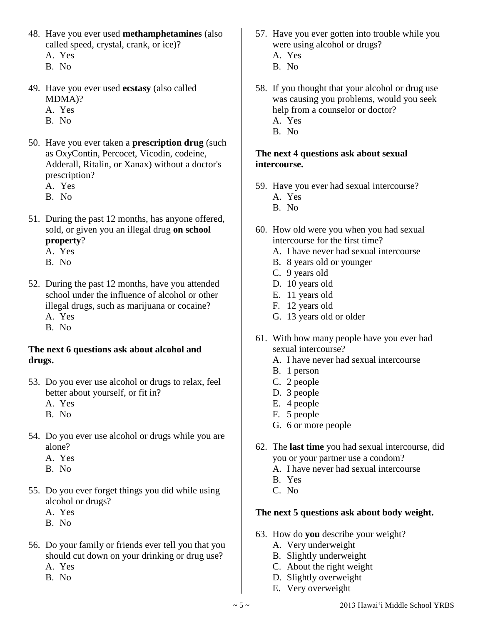- 48. Have you ever used **methamphetamines** (also called speed, crystal, crank, or ice)?
	- A. Yes
	- B. No
- 49. Have you ever used **ecstasy** (also called MDMA)?
	- A. Yes
	- B. No
- 50. Have you ever taken a **prescription drug** (such as OxyContin, Percocet, Vicodin, codeine, Adderall, Ritalin, or Xanax) without a doctor's prescription?
	- A. Yes
	- B. No
- 51. During the past 12 months, has anyone offered, sold, or given you an illegal drug **on school property**?
	- A. Yes
	- B. No
- 52. During the past 12 months, have you attended school under the influence of alcohol or other illegal drugs, such as marijuana or cocaine?
	- A. Yes
	- B. No

#### **The next 6 questions ask about alcohol and drugs.**

- 53. Do you ever use alcohol or drugs to relax, feel better about yourself, or fit in?
	- A. Yes
	- B. No
- 54. Do you ever use alcohol or drugs while you are alone?
	- A. Yes
	- B. No
- 55. Do you ever forget things you did while using alcohol or drugs?
	- A. Yes
	- B. No
- 56. Do your family or friends ever tell you that you should cut down on your drinking or drug use? A. Yes
	- B. No
- 57. Have you ever gotten into trouble while you were using alcohol or drugs?
	- A. Yes
	- B. No
- 58. If you thought that your alcohol or drug use was causing you problems, would you seek help from a counselor or doctor?
	- A. Yes
	- B. No

#### **The next 4 questions ask about sexual intercourse.**

- 59. Have you ever had sexual intercourse? A. Yes
	- B. No
- 60. How old were you when you had sexual intercourse for the first time?
	- A. I have never had sexual intercourse
	- B. 8 years old or younger
	- C. 9 years old
	- D. 10 years old
	- E. 11 years old
	- F. 12 years old
	- G. 13 years old or older
- 61. With how many people have you ever had sexual intercourse?
	- A. I have never had sexual intercourse
	- B. 1 person
	- C. 2 people
	- D. 3 people
	- E. 4 people
	- F. 5 people
	- G. 6 or more people
- 62. The **last time** you had sexual intercourse, did you or your partner use a condom?
	- A. I have never had sexual intercourse
	- B. Yes
	- C. No

## **The next 5 questions ask about body weight.**

- 63. How do **you** describe your weight?
	- A. Very underweight
	- B. Slightly underweight
	- C. About the right weight
	- D. Slightly overweight
	- E. Very overweight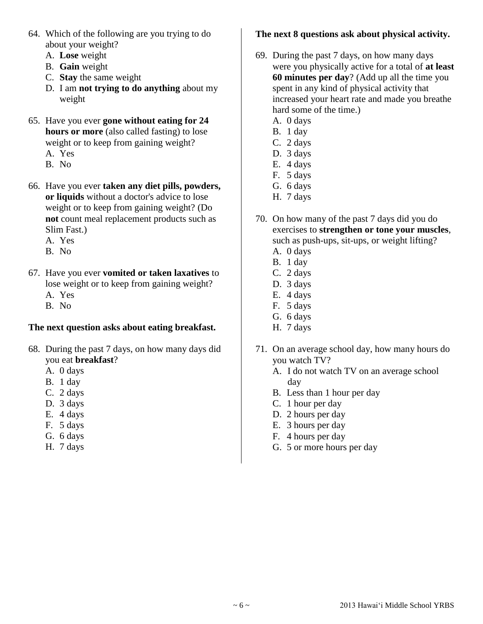- 64. Which of the following are you trying to do about your weight?
	- A. **Lose** weight
	- B. **Gain** weight
	- C. **Stay** the same weight
	- D. I am **not trying to do anything** about my weight
- 65. Have you ever **gone without eating for 24 hours or more** (also called fasting) to lose weight or to keep from gaining weight?
	- A. Yes
	- B. No
- 66. Have you ever **taken any diet pills, powders, or liquids** without a doctor's advice to lose weight or to keep from gaining weight? (Do **not** count meal replacement products such as Slim Fast.)
	- A. Yes
	- B. No
- 67. Have you ever **vomited or taken laxatives** to lose weight or to keep from gaining weight? A. Yes
	- B. No

## **The next question asks about eating breakfast.**

- 68. During the past 7 days, on how many days did you eat **breakfast**?
	- A. 0 days
	- B. 1 day
	- C. 2 days
	- D. 3 days
	- E. 4 days
	- F. 5 days
	- G. 6 days
	- H. 7 days

## **The next 8 questions ask about physical activity.**

- 69. During the past 7 days, on how many days were you physically active for a total of **at least 60 minutes per day**? (Add up all the time you spent in any kind of physical activity that increased your heart rate and made you breathe hard some of the time.)
	- A. 0 days
	- B. 1 day
	- C. 2 days
	- D. 3 days
	- E. 4 days
	- F. 5 days
	- G. 6 days H. 7 days
- 70. On how many of the past 7 days did you do exercises to **strengthen or tone your muscles**, such as push-ups, sit-ups, or weight lifting?
	- A. 0 days
	- B. 1 day
	- C. 2 days
	- D. 3 days
	- E. 4 days
	- F. 5 days
	- G. 6 days
	- H. 7 days
- 71. On an average school day, how many hours do you watch TV?
	- A. I do not watch TV on an average school day
	- B. Less than 1 hour per day
	- C. 1 hour per day
	- D. 2 hours per day
	- E. 3 hours per day
	- F. 4 hours per day
	- G. 5 or more hours per day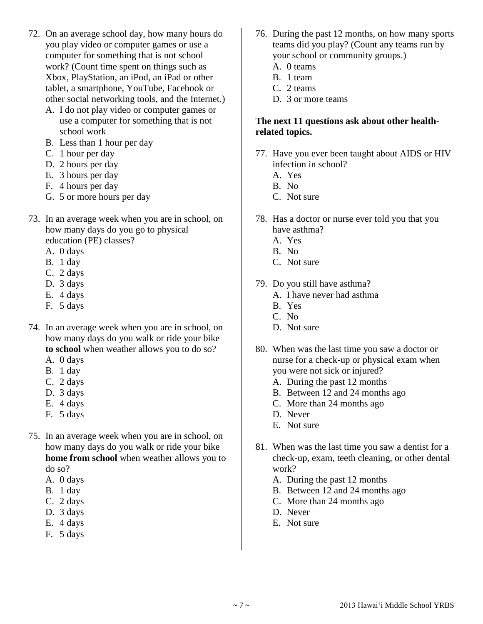- 72. On an average school day, how many hours do you play video or computer games or use a computer for something that is not school work? (Count time spent on things such as Xbox, PlayStation, an iPod, an iPad or other tablet, a smartphone, YouTube, Facebook or other social networking tools, and the Internet.)
	- A. I do not play video or computer games or use a computer for something that is not school work
	- B. Less than 1 hour per day
	- C. 1 hour per day
	- D. 2 hours per day
	- E. 3 hours per day
	- F. 4 hours per day
	- G. 5 or more hours per day
- 73. In an average week when you are in school, on how many days do you go to physical education (PE) classes?
	- A. 0 days
	- B. 1 day
	- C. 2 days
	- D. 3 days
	- E. 4 days
	- F. 5 days
- 74. In an average week when you are in school, on how many days do you walk or ride your bike **to school** when weather allows you to do so?
	- A. 0 days
	- B. 1 day
	- C. 2 days
	- D. 3 days
	- E. 4 days
	- F. 5 days
- 75. In an average week when you are in school, on how many days do you walk or ride your bike **home from school** when weather allows you to do so?
	- A. 0 days
	- B. 1 day
	- C. 2 days
	- D. 3 days
	- E. 4 days
	- F. 5 days
- 76. During the past 12 months, on how many sports teams did you play? (Count any teams run by your school or community groups.)
	- A. 0 teams
	- B. 1 team
	- C. 2 teams
	- D. 3 or more teams

#### **The next 11 questions ask about other healthrelated topics.**

- 77. Have you ever been taught about AIDS or HIV infection in school?
	- A. Yes
	- B. No
	- C. Not sure
- 78. Has a doctor or nurse ever told you that you have asthma?
	- A. Yes
	- B. No
	- C. Not sure
- 79. Do you still have asthma?
	- A. I have never had asthma
	- B. Yes
	- C. No
	- D. Not sure
- 80. When was the last time you saw a doctor or nurse for a check-up or physical exam when you were not sick or injured?
	- A. During the past 12 months
	- B. Between 12 and 24 months ago
	- C. More than 24 months ago
	- D. Never
	- E. Not sure
- 81. When was the last time you saw a dentist for a check-up, exam, teeth cleaning, or other dental work?
	- A. During the past 12 months
	- B. Between 12 and 24 months ago
	- C. More than 24 months ago
	- D. Never
	- E. Not sure